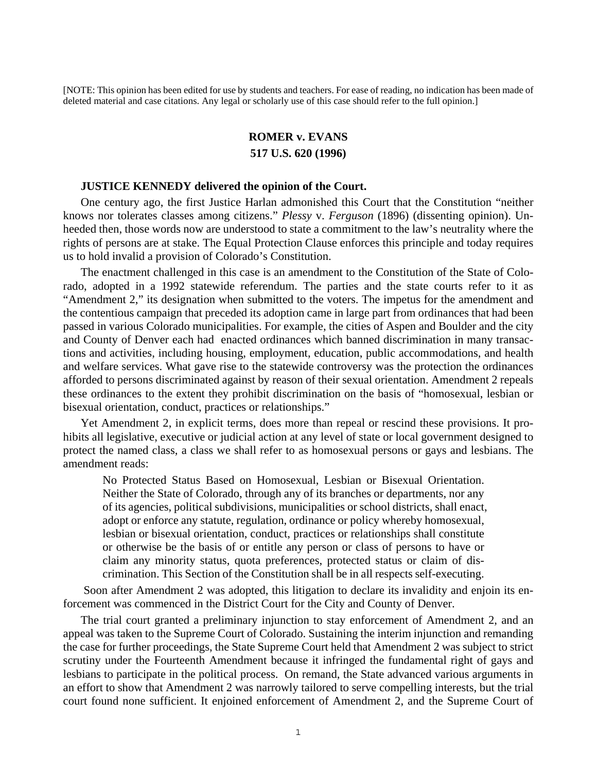[NOTE: This opinion has been edited for use by students and teachers. For ease of reading, no indication has been made of deleted material and case citations. Any legal or scholarly use of this case should refer to the full opinion.]

## **ROMER v. EVANS**

## **517 U.S. 620 (1996)**

## **JUSTICE KENNEDY delivered the opinion of the Court.**

One century ago, the first Justice Harlan admonished this Court that the Constitution "neither knows nor tolerates classes among citizens." *Plessy* v. *Ferguson* (1896) (dissenting opinion). Unheeded then, those words now are understood to state a commitment to the law's neutrality where the rights of persons are at stake. The Equal Protection Clause enforces this principle and today requires us to hold invalid a provision of Colorado's Constitution.

The enactment challenged in this case is an amendment to the Constitution of the State of Colorado, adopted in a 1992 statewide referendum. The parties and the state courts refer to it as "Amendment 2," its designation when submitted to the voters. The impetus for the amendment and the contentious campaign that preceded its adoption came in large part from ordinances that had been passed in various Colorado municipalities. For example, the cities of Aspen and Boulder and the city and County of Denver each had enacted ordinances which banned discrimination in many transactions and activities, including housing, employment, education, public accommodations, and health and welfare services. What gave rise to the statewide controversy was the protection the ordinances afforded to persons discriminated against by reason of their sexual orientation. Amendment 2 repeals these ordinances to the extent they prohibit discrimination on the basis of "homosexual, lesbian or bisexual orientation, conduct, practices or relationships."

Yet Amendment 2, in explicit terms, does more than repeal or rescind these provisions. It prohibits all legislative, executive or judicial action at any level of state or local government designed to protect the named class, a class we shall refer to as homosexual persons or gays and lesbians. The amendment reads:

No Protected Status Based on Homosexual, Lesbian or Bisexual Orientation. Neither the State of Colorado, through any of its branches or departments, nor any of its agencies, political subdivisions, municipalities or school districts, shall enact, adopt or enforce any statute, regulation, ordinance or policy whereby homosexual, lesbian or bisexual orientation, conduct, practices or relationships shall constitute or otherwise be the basis of or entitle any person or class of persons to have or claim any minority status, quota preferences, protected status or claim of discrimination. This Section of the Constitution shall be in all respects self-executing.

 Soon after Amendment 2 was adopted, this litigation to declare its invalidity and enjoin its enforcement was commenced in the District Court for the City and County of Denver.

The trial court granted a preliminary injunction to stay enforcement of Amendment 2, and an appeal was taken to the Supreme Court of Colorado. Sustaining the interim injunction and remanding the case for further proceedings, the State Supreme Court held that Amendment 2 was subject to strict scrutiny under the Fourteenth Amendment because it infringed the fundamental right of gays and lesbians to participate in the political process. On remand, the State advanced various arguments in an effort to show that Amendment 2 was narrowly tailored to serve compelling interests, but the trial court found none sufficient. It enjoined enforcement of Amendment 2, and the Supreme Court of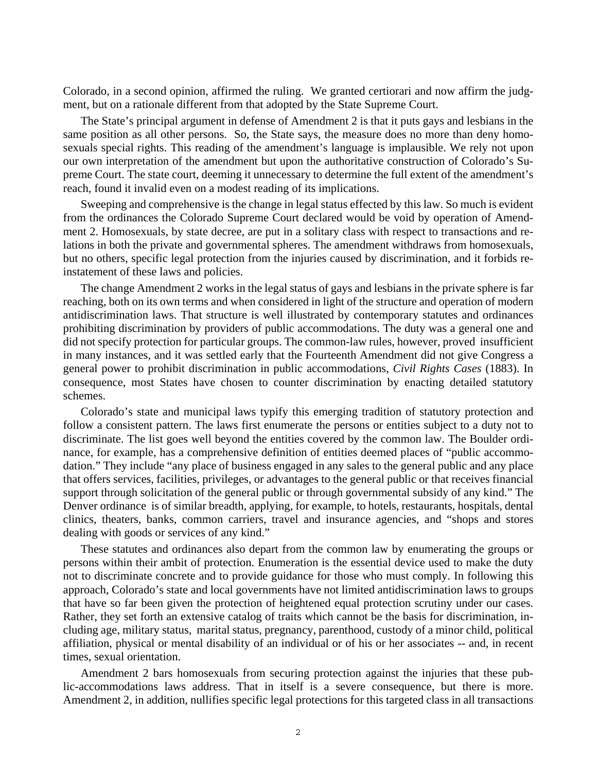Colorado, in a second opinion, affirmed the ruling. We granted certiorari and now affirm the judgment, but on a rationale different from that adopted by the State Supreme Court.

The State's principal argument in defense of Amendment 2 is that it puts gays and lesbians in the same position as all other persons. So, the State says, the measure does no more than deny homosexuals special rights. This reading of the amendment's language is implausible. We rely not upon our own interpretation of the amendment but upon the authoritative construction of Colorado's Supreme Court. The state court, deeming it unnecessary to determine the full extent of the amendment's reach, found it invalid even on a modest reading of its implications.

Sweeping and comprehensive is the change in legal status effected by this law. So much is evident from the ordinances the Colorado Supreme Court declared would be void by operation of Amendment 2. Homosexuals, by state decree, are put in a solitary class with respect to transactions and relations in both the private and governmental spheres. The amendment withdraws from homosexuals, but no others, specific legal protection from the injuries caused by discrimination, and it forbids reinstatement of these laws and policies.

The change Amendment 2 works in the legal status of gays and lesbians in the private sphere is far reaching, both on its own terms and when considered in light of the structure and operation of modern antidiscrimination laws. That structure is well illustrated by contemporary statutes and ordinances prohibiting discrimination by providers of public accommodations. The duty was a general one and did not specify protection for particular groups. The common-law rules, however, proved insufficient in many instances, and it was settled early that the Fourteenth Amendment did not give Congress a general power to prohibit discrimination in public accommodations, *Civil Rights Cases* (1883). In consequence, most States have chosen to counter discrimination by enacting detailed statutory schemes.

Colorado's state and municipal laws typify this emerging tradition of statutory protection and follow a consistent pattern. The laws first enumerate the persons or entities subject to a duty not to discriminate. The list goes well beyond the entities covered by the common law. The Boulder ordinance, for example, has a comprehensive definition of entities deemed places of "public accommodation." They include "any place of business engaged in any sales to the general public and any place that offers services, facilities, privileges, or advantages to the general public or that receives financial support through solicitation of the general public or through governmental subsidy of any kind." The Denver ordinance is of similar breadth, applying, for example, to hotels, restaurants, hospitals, dental clinics, theaters, banks, common carriers, travel and insurance agencies, and "shops and stores dealing with goods or services of any kind."

These statutes and ordinances also depart from the common law by enumerating the groups or persons within their ambit of protection. Enumeration is the essential device used to make the duty not to discriminate concrete and to provide guidance for those who must comply. In following this approach, Colorado's state and local governments have not limited antidiscrimination laws to groups that have so far been given the protection of heightened equal protection scrutiny under our cases. Rather, they set forth an extensive catalog of traits which cannot be the basis for discrimination, including age, military status, marital status, pregnancy, parenthood, custody of a minor child, political affiliation, physical or mental disability of an individual or of his or her associates -- and, in recent times, sexual orientation.

Amendment 2 bars homosexuals from securing protection against the injuries that these public-accommodations laws address. That in itself is a severe consequence, but there is more. Amendment 2, in addition, nullifies specific legal protections for this targeted class in all transactions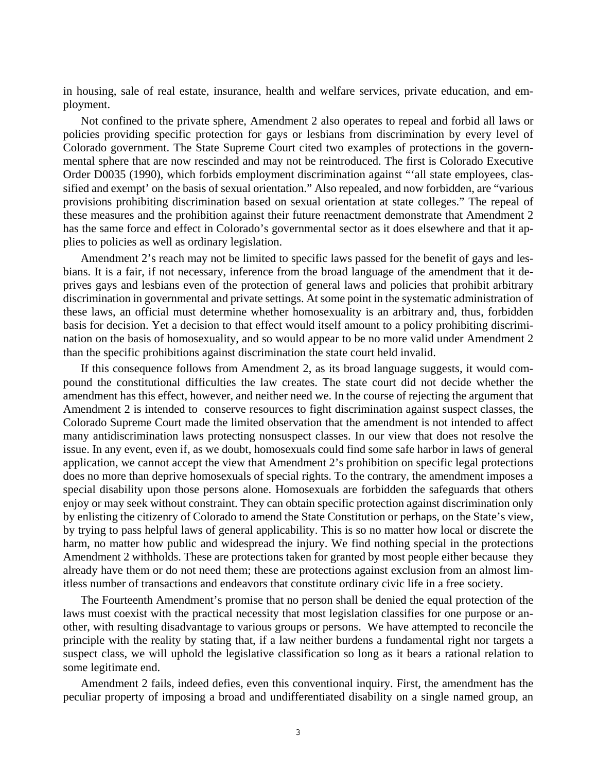in housing, sale of real estate, insurance, health and welfare services, private education, and employment.

Not confined to the private sphere, Amendment 2 also operates to repeal and forbid all laws or policies providing specific protection for gays or lesbians from discrimination by every level of Colorado government. The State Supreme Court cited two examples of protections in the governmental sphere that are now rescinded and may not be reintroduced. The first is Colorado Executive Order D0035 (1990), which forbids employment discrimination against "'all state employees, classified and exempt' on the basis of sexual orientation." Also repealed, and now forbidden, are "various provisions prohibiting discrimination based on sexual orientation at state colleges." The repeal of these measures and the prohibition against their future reenactment demonstrate that Amendment 2 has the same force and effect in Colorado's governmental sector as it does elsewhere and that it applies to policies as well as ordinary legislation.

Amendment 2's reach may not be limited to specific laws passed for the benefit of gays and lesbians. It is a fair, if not necessary, inference from the broad language of the amendment that it deprives gays and lesbians even of the protection of general laws and policies that prohibit arbitrary discrimination in governmental and private settings. At some point in the systematic administration of these laws, an official must determine whether homosexuality is an arbitrary and, thus, forbidden basis for decision. Yet a decision to that effect would itself amount to a policy prohibiting discrimination on the basis of homosexuality, and so would appear to be no more valid under Amendment 2 than the specific prohibitions against discrimination the state court held invalid.

If this consequence follows from Amendment 2, as its broad language suggests, it would compound the constitutional difficulties the law creates. The state court did not decide whether the amendment has this effect, however, and neither need we. In the course of rejecting the argument that Amendment 2 is intended to conserve resources to fight discrimination against suspect classes, the Colorado Supreme Court made the limited observation that the amendment is not intended to affect many antidiscrimination laws protecting nonsuspect classes. In our view that does not resolve the issue. In any event, even if, as we doubt, homosexuals could find some safe harbor in laws of general application, we cannot accept the view that Amendment 2's prohibition on specific legal protections does no more than deprive homosexuals of special rights. To the contrary, the amendment imposes a special disability upon those persons alone. Homosexuals are forbidden the safeguards that others enjoy or may seek without constraint. They can obtain specific protection against discrimination only by enlisting the citizenry of Colorado to amend the State Constitution or perhaps, on the State's view, by trying to pass helpful laws of general applicability. This is so no matter how local or discrete the harm, no matter how public and widespread the injury. We find nothing special in the protections Amendment 2 withholds. These are protections taken for granted by most people either because they already have them or do not need them; these are protections against exclusion from an almost limitless number of transactions and endeavors that constitute ordinary civic life in a free society.

The Fourteenth Amendment's promise that no person shall be denied the equal protection of the laws must coexist with the practical necessity that most legislation classifies for one purpose or another, with resulting disadvantage to various groups or persons. We have attempted to reconcile the principle with the reality by stating that, if a law neither burdens a fundamental right nor targets a suspect class, we will uphold the legislative classification so long as it bears a rational relation to some legitimate end.

Amendment 2 fails, indeed defies, even this conventional inquiry. First, the amendment has the peculiar property of imposing a broad and undifferentiated disability on a single named group, an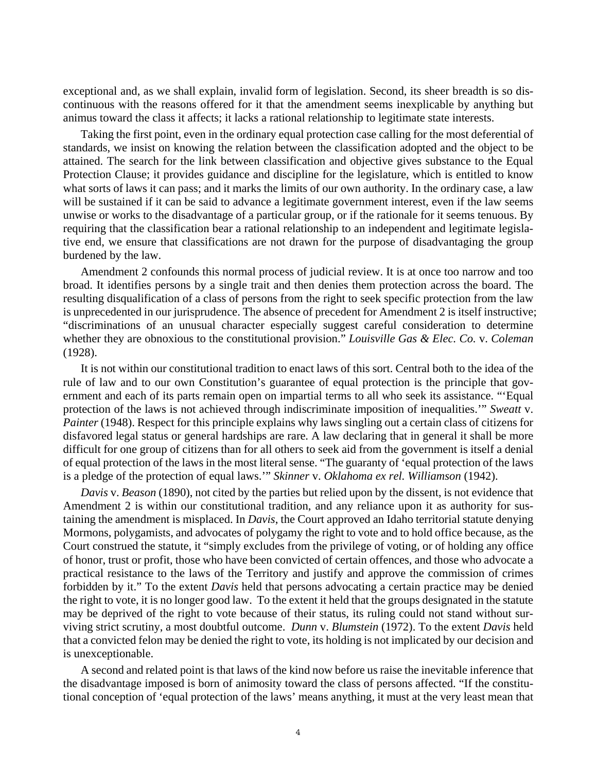exceptional and, as we shall explain, invalid form of legislation. Second, its sheer breadth is so discontinuous with the reasons offered for it that the amendment seems inexplicable by anything but animus toward the class it affects; it lacks a rational relationship to legitimate state interests.

Taking the first point, even in the ordinary equal protection case calling for the most deferential of standards, we insist on knowing the relation between the classification adopted and the object to be attained. The search for the link between classification and objective gives substance to the Equal Protection Clause; it provides guidance and discipline for the legislature, which is entitled to know what sorts of laws it can pass; and it marks the limits of our own authority. In the ordinary case, a law will be sustained if it can be said to advance a legitimate government interest, even if the law seems unwise or works to the disadvantage of a particular group, or if the rationale for it seems tenuous. By requiring that the classification bear a rational relationship to an independent and legitimate legislative end, we ensure that classifications are not drawn for the purpose of disadvantaging the group burdened by the law.

Amendment 2 confounds this normal process of judicial review. It is at once too narrow and too broad. It identifies persons by a single trait and then denies them protection across the board. The resulting disqualification of a class of persons from the right to seek specific protection from the law is unprecedented in our jurisprudence. The absence of precedent for Amendment 2 is itself instructive; "discriminations of an unusual character especially suggest careful consideration to determine whether they are obnoxious to the constitutional provision." *Louisville Gas & Elec. Co.* v. *Coleman* (1928).

It is not within our constitutional tradition to enact laws of this sort. Central both to the idea of the rule of law and to our own Constitution's guarantee of equal protection is the principle that government and each of its parts remain open on impartial terms to all who seek its assistance. "'Equal protection of the laws is not achieved through indiscriminate imposition of inequalities.'" *Sweatt* v. *Painter* (1948). Respect for this principle explains why laws singling out a certain class of citizens for disfavored legal status or general hardships are rare. A law declaring that in general it shall be more difficult for one group of citizens than for all others to seek aid from the government is itself a denial of equal protection of the laws in the most literal sense. "The guaranty of 'equal protection of the laws is a pledge of the protection of equal laws.'" *Skinner* v. *Oklahoma ex rel. Williamson* (1942).

*Davis* v. *Beason* (1890), not cited by the parties but relied upon by the dissent, is not evidence that Amendment 2 is within our constitutional tradition, and any reliance upon it as authority for sustaining the amendment is misplaced. In *Davis*, the Court approved an Idaho territorial statute denying Mormons, polygamists, and advocates of polygamy the right to vote and to hold office because, as the Court construed the statute, it "simply excludes from the privilege of voting, or of holding any office of honor, trust or profit, those who have been convicted of certain offences, and those who advocate a practical resistance to the laws of the Territory and justify and approve the commission of crimes forbidden by it." To the extent *Davis* held that persons advocating a certain practice may be denied the right to vote, it is no longer good law. To the extent it held that the groups designated in the statute may be deprived of the right to vote because of their status, its ruling could not stand without surviving strict scrutiny, a most doubtful outcome. *Dunn* v. *Blumstein* (1972). To the extent *Davis* held that a convicted felon may be denied the right to vote, its holding is not implicated by our decision and is unexceptionable.

A second and related point is that laws of the kind now before us raise the inevitable inference that the disadvantage imposed is born of animosity toward the class of persons affected. "If the constitutional conception of 'equal protection of the laws' means anything, it must at the very least mean that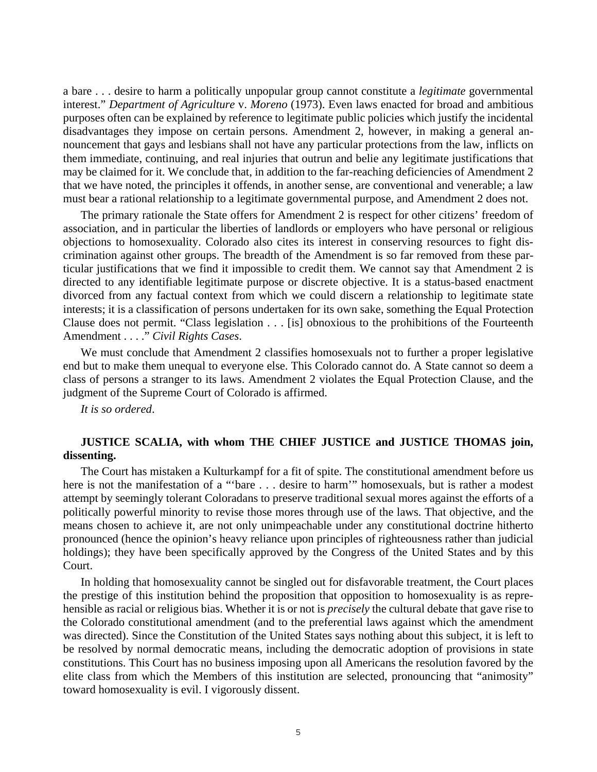a bare . . . desire to harm a politically unpopular group cannot constitute a *legitimate* governmental interest." *Department of Agriculture* v. *Moreno* (1973). Even laws enacted for broad and ambitious purposes often can be explained by reference to legitimate public policies which justify the incidental disadvantages they impose on certain persons. Amendment 2, however, in making a general announcement that gays and lesbians shall not have any particular protections from the law, inflicts on them immediate, continuing, and real injuries that outrun and belie any legitimate justifications that may be claimed for it. We conclude that, in addition to the far-reaching deficiencies of Amendment 2 that we have noted, the principles it offends, in another sense, are conventional and venerable; a law must bear a rational relationship to a legitimate governmental purpose, and Amendment 2 does not.

The primary rationale the State offers for Amendment 2 is respect for other citizens' freedom of association, and in particular the liberties of landlords or employers who have personal or religious objections to homosexuality. Colorado also cites its interest in conserving resources to fight discrimination against other groups. The breadth of the Amendment is so far removed from these particular justifications that we find it impossible to credit them. We cannot say that Amendment 2 is directed to any identifiable legitimate purpose or discrete objective. It is a status-based enactment divorced from any factual context from which we could discern a relationship to legitimate state interests; it is a classification of persons undertaken for its own sake, something the Equal Protection Clause does not permit. "Class legislation . . . [is] obnoxious to the prohibitions of the Fourteenth Amendment . . . ." *Civil Rights Cases*.

We must conclude that Amendment 2 classifies homosexuals not to further a proper legislative end but to make them unequal to everyone else. This Colorado cannot do. A State cannot so deem a class of persons a stranger to its laws. Amendment 2 violates the Equal Protection Clause, and the judgment of the Supreme Court of Colorado is affirmed.

*It is so ordered*.

## **JUSTICE SCALIA, with whom THE CHIEF JUSTICE and JUSTICE THOMAS join, dissenting.**

The Court has mistaken a Kulturkampf for a fit of spite. The constitutional amendment before us here is not the manifestation of a "'bare . . . desire to harm'" homosexuals, but is rather a modest attempt by seemingly tolerant Coloradans to preserve traditional sexual mores against the efforts of a politically powerful minority to revise those mores through use of the laws. That objective, and the means chosen to achieve it, are not only unimpeachable under any constitutional doctrine hitherto pronounced (hence the opinion's heavy reliance upon principles of righteousness rather than judicial holdings); they have been specifically approved by the Congress of the United States and by this Court.

In holding that homosexuality cannot be singled out for disfavorable treatment, the Court places the prestige of this institution behind the proposition that opposition to homosexuality is as reprehensible as racial or religious bias. Whether it is or not is *precisely* the cultural debate that gave rise to the Colorado constitutional amendment (and to the preferential laws against which the amendment was directed). Since the Constitution of the United States says nothing about this subject, it is left to be resolved by normal democratic means, including the democratic adoption of provisions in state constitutions. This Court has no business imposing upon all Americans the resolution favored by the elite class from which the Members of this institution are selected, pronouncing that "animosity" toward homosexuality is evil. I vigorously dissent.